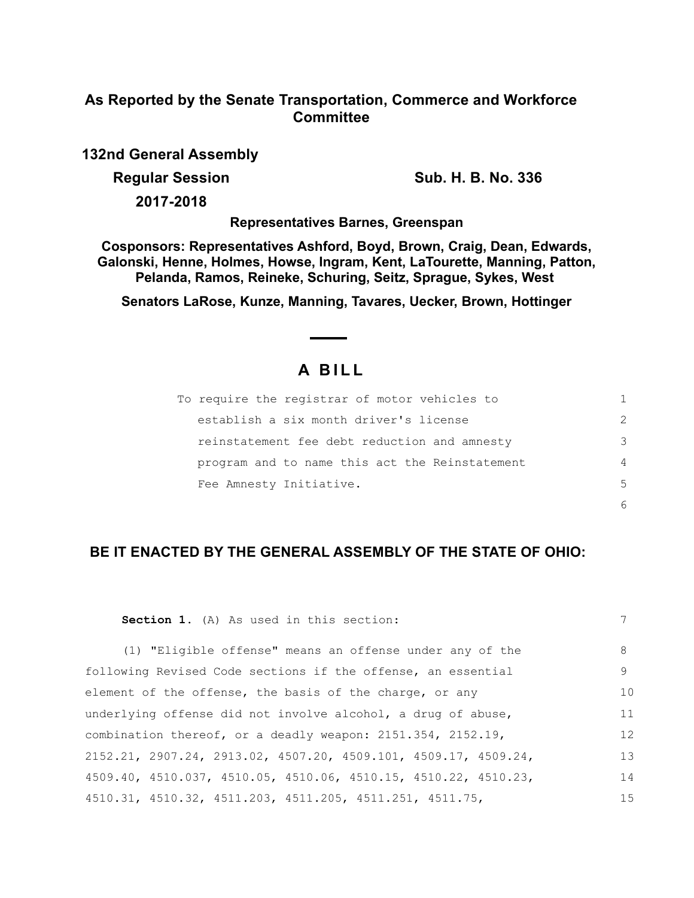## **As Reported by the Senate Transportation, Commerce and Workforce Committee**

**132nd General Assembly**

**Regular Session Sub. H. B. No. 336** 

**2017-2018**

**Representatives Barnes, Greenspan**

**Cosponsors: Representatives Ashford, Boyd, Brown, Craig, Dean, Edwards, Galonski, Henne, Holmes, Howse, Ingram, Kent, LaTourette, Manning, Patton, Pelanda, Ramos, Reineke, Schuring, Seitz, Sprague, Sykes, West** 

**Senators LaRose, Kunze, Manning, Tavares, Uecker, Brown, Hottinger**

## **A B I L L**

| To require the registrar of motor vehicles to  |               |
|------------------------------------------------|---------------|
| establish a six month driver's license         | $\mathcal{P}$ |
| reinstatement fee debt reduction and amnesty   | 3             |
| program and to name this act the Reinstatement | 4             |
| Fee Amnesty Initiative.                        | .5            |
|                                                |               |

## **BE IT ENACTED BY THE GENERAL ASSEMBLY OF THE STATE OF OHIO:**

| <b>Section 1.</b> (A) As used in this section:                    | 7  |
|-------------------------------------------------------------------|----|
| (1) "Eligible offense" means an offense under any of the          | 8  |
| following Revised Code sections if the offense, an essential      | 9  |
| element of the offense, the basis of the charge, or any           | 10 |
| underlying offense did not involve alcohol, a drug of abuse,      | 11 |
| combination thereof, or a deadly weapon: 2151.354, 2152.19,       | 12 |
| $2152.21, 2907.24, 2913.02, 4507.20, 4509.101, 4509.17, 4509.24,$ | 13 |
| 4509.40, 4510.037, 4510.05, 4510.06, 4510.15, 4510.22, 4510.23,   | 14 |
| 4510.31, 4510.32, 4511.203, 4511.205, 4511.251, 4511.75,          | 15 |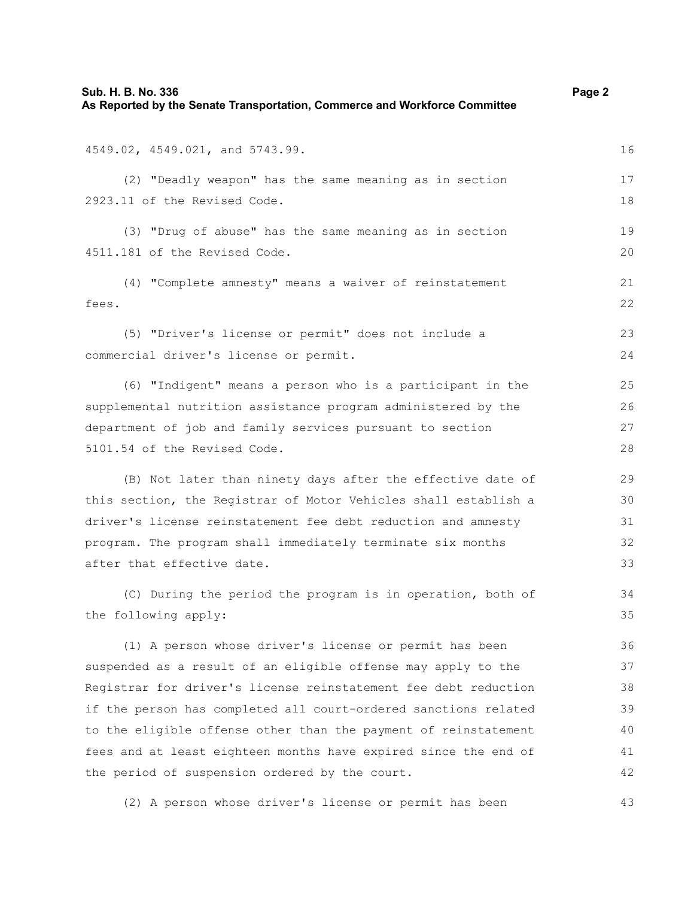4549.02, 4549.021, and 5743.99.

(2) "Deadly weapon" has the same meaning as in section 2923.11 of the Revised Code.

(3) "Drug of abuse" has the same meaning as in section 4511.181 of the Revised Code.

(4) "Complete amnesty" means a waiver of reinstatement fees.

(5) "Driver's license or permit" does not include a commercial driver's license or permit.

(6) "Indigent" means a person who is a participant in the supplemental nutrition assistance program administered by the department of job and family services pursuant to section 5101.54 of the Revised Code.

(B) Not later than ninety days after the effective date of this section, the Registrar of Motor Vehicles shall establish a driver's license reinstatement fee debt reduction and amnesty program. The program shall immediately terminate six months after that effective date.

(C) During the period the program is in operation, both of the following apply:

(1) A person whose driver's license or permit has been suspended as a result of an eligible offense may apply to the Registrar for driver's license reinstatement fee debt reduction if the person has completed all court-ordered sanctions related to the eligible offense other than the payment of reinstatement fees and at least eighteen months have expired since the end of the period of suspension ordered by the court. 36 37 38 39 40 41 42

(2) A person whose driver's license or permit has been

16

17 18

19  $20$ 

21 22

23 24

34 35

43